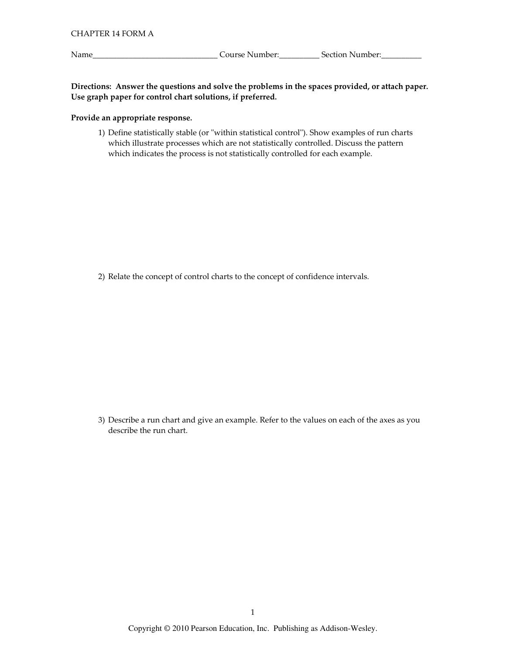Name\_

Directions: Answer the questions and solve the problems in the spaces provided, or attach paper. Use graph paper for control chart solutions, if preferred.

## Provide an appropriate response.

1) Define statistically stable (or "within statistical control"). Show examples of run charts which illustrate processes which are not statistically controlled. Discuss the pattern which indicates the process is not statistically controlled for each example.

2) Relate the concept of control charts to the concept of confidence intervals.

3) Describe a run chart and give an example. Refer to the values on each of the axes as you describe the run chart.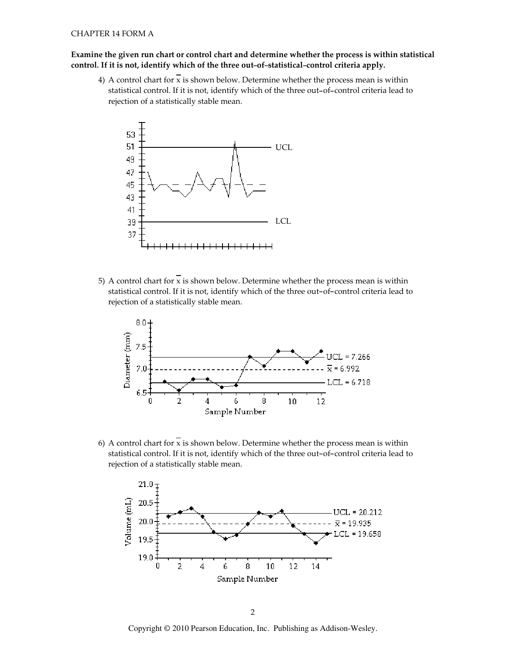## Examine the given run chart or control chart and determine whether the process is within statistical control. If it is not, identify which of the three out-of-statistical-control criteria apply.

4) A control chart for  $\overline{x}$  is shown below. Determine whether the process mean is within statistical control. If it is not, identify which of the three out-of-control criteria lead to rejection of a statistically stable mean.



5) A control chart for  $x$  is shown below. Determine whether the process mean is within statistical control. If it is not, identify which of the three out-of-control criteria lead to rejection of a statistically stable mean.



6) A control chart for x is shown below. Determine whether the process mean is within statistical control. If it is not, identify which of the three out-of-control criteria lead to rejection of a statistically stable mean.



Copyright © 2010 Pearson Education, Inc. Publishing as Addison-Wesley.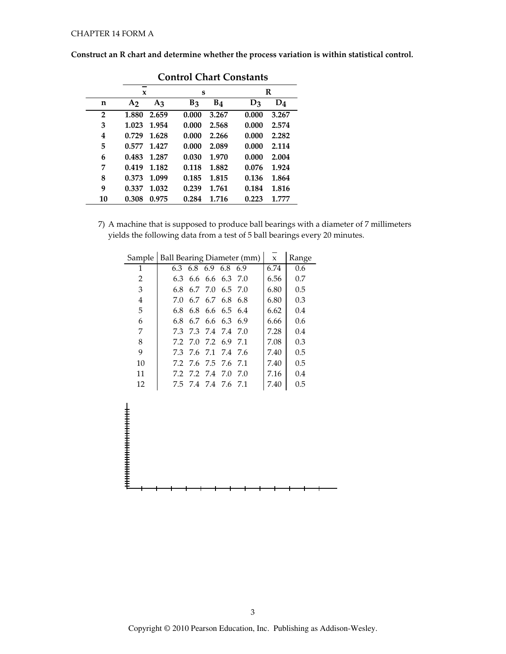|                | Control Chart Constants |       |       |                |                |       |  |  |  |  |
|----------------|-------------------------|-------|-------|----------------|----------------|-------|--|--|--|--|
|                | X                       |       | S     |                |                | R     |  |  |  |  |
| n              | A <sub>2</sub>          | $A_3$ | $B_3$ | B <sub>4</sub> | D <sub>3</sub> | $D_4$ |  |  |  |  |
| $\overline{2}$ | 1.880                   | 2.659 | 0.000 | 3.267          | 0.000          | 3.267 |  |  |  |  |
| 3              | 1.023                   | 1.954 | 0.000 | 2.568          | 0.000          | 2.574 |  |  |  |  |
| 4              | 0.729                   | 1.628 | 0.000 | 2.266          | 0.000          | 2.282 |  |  |  |  |
| 5              | 0.577                   | 1.427 | 0.000 | 2.089          | 0.000          | 2.114 |  |  |  |  |
| 6              | 0.483                   | 1.287 | 0.030 | 1.970          | 0.000          | 2.004 |  |  |  |  |
| 7              | 0.419                   | 1.182 | 0.118 | 1.882          | 0.076          | 1.924 |  |  |  |  |
| 8              | 0.373                   | 1.099 | 0.185 | 1.815          | 0.136          | 1.864 |  |  |  |  |
| 9              | 0.337                   | 1.032 | 0.239 | 1.761          | 0.184          | 1.816 |  |  |  |  |
| 10             | 0.308                   | 0.975 | 0.284 | 1.716          | 0.223          | 1.777 |  |  |  |  |

**Control Chart Constants** 

7) A machine that is supposed to produce ball bearings with a diameter of 7 millimeters yields the following data from a test of 5 ball bearings every 20 minutes.

| Sample         | Ball Bearing Diameter (mm) |                 | $\mathbf{x}$        | Range |      |     |
|----------------|----------------------------|-----------------|---------------------|-------|------|-----|
| 1              |                            |                 | 6.3 6.8 6.9 6.8 6.9 |       | 6.74 | 0.6 |
| 2              | 6.3                        |                 | 6.6, 6.6, 6.3, 7.0  |       | 6.56 | 0.7 |
| 3              | 6.8                        |                 | 6.7 7.0 6.5 7.0     |       | 6.80 | 0.5 |
| $\overline{4}$ | 7.0                        |                 | 6.7 6.7 6.8 6.8     |       | 6.80 | 0.3 |
| 5              | 6.8                        |                 | 6.8 6.6 6.5 6.4     |       | 6.62 | 0.4 |
| 6              | 6.8                        |                 | 6.7 6.6 6.3 6.9     |       | 6.66 | 0.6 |
| 7              | 73                         |                 | 73 74 74 70         |       | 7.28 | 0.4 |
| 8              |                            |                 | 72 70 72 69 71      |       | 7.08 | 0.3 |
| 9              |                            |                 | 73 76 71 74 76      |       | 7.40 | 0.5 |
| 10             |                            |                 | 72 76 75 76 71      |       | 7.40 | 0.5 |
| 11             |                            | 7.2 7.2 7.4 7.0 |                     | 7.0   | 7.16 | 0.4 |
| 12             |                            |                 | 7.5 7.4 7.4 7.6 7.1 |       | 7.40 | 0.5 |

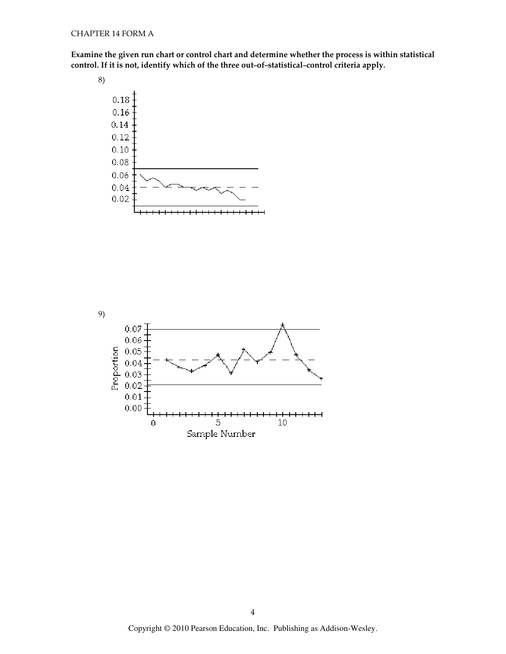Examine the given run chart or control chart and determine whether the process is within statistical control. If it is not, identify which of the th rt and determine whether the process is wi<mark>t</mark><br>ree out–of–statistical–control criteria apply.



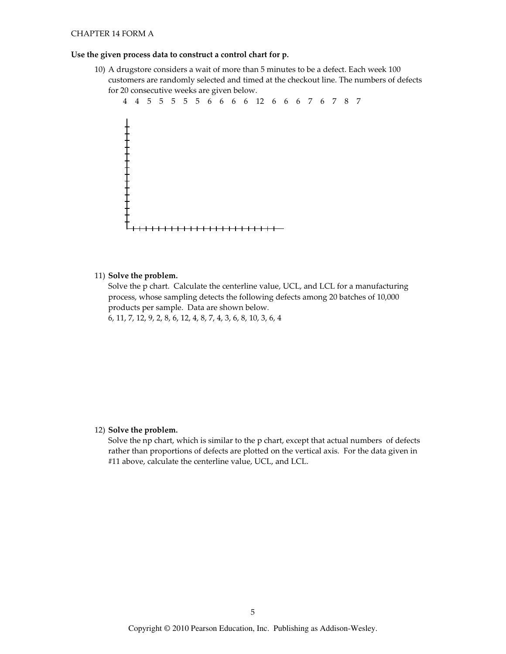### **CHAPTER 14 FORM A**

#### Use the given process data to construct a control chart for p.

10) A drugstore considers a wait of more than 5 minutes to be a defect. Each week 100 customers are randomly selected and timed at the checkout line. The numbers of defects for 20 consecutive weeks are given below.



11) Solve the problem.

Solve the p chart. Calculate the centerline value, UCL, and LCL for a manufacturing process, whose sampling detects the following defects among 20 batches of 10,000 products per sample. Data are shown below.

6, 11, 7, 12, 9, 2, 8, 6, 12, 4, 8, 7, 4, 3, 6, 8, 10, 3, 6, 4

#### 12) Solve the problem.

Solve the np chart, which is similar to the p chart, except that actual numbers of defects rather than proportions of defects are plotted on the vertical axis. For the data given in #11 above, calculate the centerline value, UCL, and LCL.